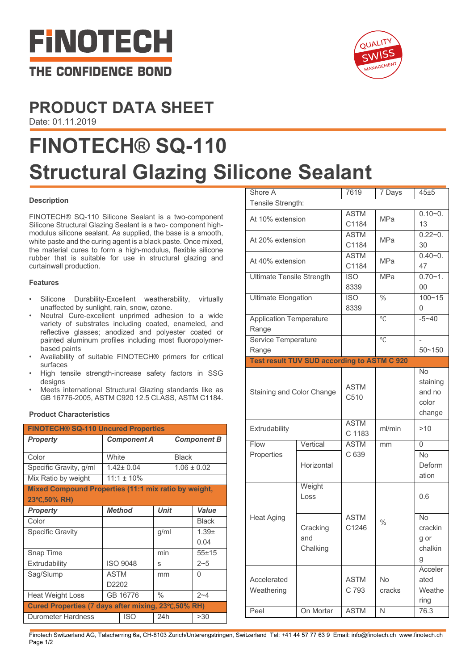



### **PRODUCT DATA SHEET** Date: 01.11.2019

# **FINOTECH® SQ-110 Structural Glazing Silicone Sealant**

#### **Description**

FINOTECH® SQ-110 Silicone Sealant is a two-component Silicone Structural Glazing Sealant is a two- component highmodulus silicone sealant. As supplied, the base is a smooth, white paste and the curing agent is a black paste. Once mixed, the material cures to form a high-modulus, flexible silicone rubber that is suitable for use in structural glazing and curtainwall production.

#### **Features**

- Silicone Durability-Excellent weatherability, virtually unaffected by sunlight, rain, snow, ozone.
- Neutral Cure-excellent unprimed adhesion to a wide variety of substrates including coated, enameled, and reflective glasses; anodized and polyester coated or painted aluminum profiles including most fluoropolymerbased paints
- Availability of suitable FINOTECH® primers for critical surfaces
- High tensile strength-increase safety factors in SSG designs
- Meets international Structural Glazing standards like as GB 16776-2005, ASTM C920 12.5 CLASS, ASTM C1184.

#### **Product Characteristics**

| <b>FINOTECH® SQ-110 Uncured Properties</b>           |                    |               |                    |                 |              |  |  |  |
|------------------------------------------------------|--------------------|---------------|--------------------|-----------------|--------------|--|--|--|
| <b>Property</b>                                      | <b>Component A</b> |               | <b>Component B</b> |                 |              |  |  |  |
|                                                      |                    |               |                    |                 |              |  |  |  |
| Color                                                | White              |               | <b>Black</b>       |                 |              |  |  |  |
| Specific Gravity, g/ml                               | $1.42 \pm 0.04$    |               |                    | $1.06 \pm 0.02$ |              |  |  |  |
| Mix Ratio by weight                                  | $11:1 \pm 10\%$    |               |                    |                 |              |  |  |  |
| Mixed Compound Properties (11:1 mix ratio by weight, |                    |               |                    |                 |              |  |  |  |
| 23°C,50% RH)                                         |                    |               |                    |                 |              |  |  |  |
| <b>Property</b>                                      |                    | <b>Method</b> | <b>Unit</b>        |                 | Value        |  |  |  |
| Color                                                |                    |               |                    |                 | <b>Black</b> |  |  |  |
| <b>Specific Gravity</b>                              |                    |               | g/ml               |                 | $1.39 +$     |  |  |  |
|                                                      |                    |               |                    |                 | 0.04         |  |  |  |
| Snap Time                                            |                    |               | min                |                 | $55 + 15$    |  |  |  |
| Extrudability                                        | <b>ISO 9048</b>    |               | S                  |                 | $2 - 5$      |  |  |  |
| Sag/Slump                                            | <b>ASTM</b>        |               | mm                 |                 | 0            |  |  |  |
|                                                      | D2202              |               |                    |                 |              |  |  |  |
| <b>Heat Weight Loss</b>                              | GB 16776           |               | $\frac{0}{0}$      |                 | $2 - 4$      |  |  |  |
| Cured Properties (7 days after mixing, 23°C,50% RH)  |                    |               |                    |                 |              |  |  |  |
| Durometer Hardness                                   |                    | <b>ISO</b>    | 24h                |                 | >30          |  |  |  |

| Shore A                                 |                                                    |                          | 7 Days              | 45±5                                               |
|-----------------------------------------|----------------------------------------------------|--------------------------|---------------------|----------------------------------------------------|
| Tensile Strength:                       |                                                    |                          |                     |                                                    |
| At 10% extension                        |                                                    | <b>ASTM</b><br>C1184     | <b>MPa</b>          | $0.10 - 0.$<br>13                                  |
| At 20% extension                        |                                                    | <b>ASTM</b><br>C1184     | <b>MPa</b>          | $0.22 - 0.$<br>30                                  |
| At 40% extension                        |                                                    | <b>ASTM</b><br>C1184     | <b>MPa</b>          | $0.40 - 0.$<br>47                                  |
| <b>Ultimate Tensile Strength</b>        |                                                    | <b>ISO</b><br>8339       | <b>MPa</b>          | $0.70 - 1.$<br>00                                  |
| <b>Ultimate Elongation</b>              |                                                    | $\overline{ISO}$<br>8339 | $\frac{0}{2}$       | $100 - 15$<br>0                                    |
| <b>Application Temperature</b><br>Range |                                                    |                          | $\circ$ C           | $-5 - 40$                                          |
| Service Temperature<br>Range            |                                                    |                          | $\circ$ C           | $50 - 150$                                         |
|                                         | <b>Test result TUV SUD according to ASTM C 920</b> |                          |                     |                                                    |
| Staining and Color Change               |                                                    | <b>ASTM</b><br>C510      |                     | <b>No</b><br>staining<br>and no<br>color<br>change |
| Extrudability                           |                                                    | <b>ASTM</b><br>C 1183    | ml/min              | >10                                                |
| Flow                                    | Vertical                                           | <b>ASTM</b>              | mm                  | 0                                                  |
| Properties                              | Horizontal                                         | C 639                    |                     | <b>No</b><br>Deform<br>ation                       |
| <b>Heat Aging</b>                       | Weight<br>Loss                                     |                          | $\%$                | 0.6                                                |
|                                         | Cracking<br>and<br>Chalking                        | <b>ASTM</b><br>C1246     |                     | <b>No</b><br>crackin<br>g or<br>chalkin<br>g       |
| Accelerated<br>Weathering               |                                                    | <b>ASTM</b><br>C 793     | <b>No</b><br>cracks | Acceler<br>ated<br>Weathe<br>ring                  |
| Peel                                    | On Mortar                                          | <b>ASTM</b>              | N                   | 76.3                                               |
|                                         |                                                    |                          |                     |                                                    |

Finotech Switzerland AG, Talacherring 6a, CH-8103 Zurich/Unterengstringen, Switzerland Tel: +41 44 57 77 63 9 Email: info@finotech.ch www.finotech.ch Page 1/2